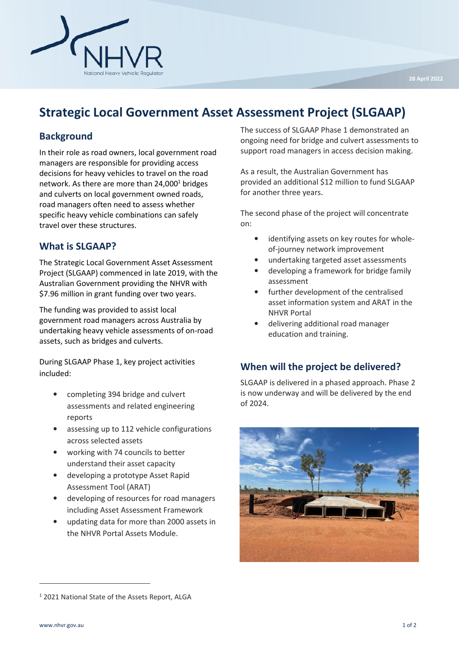

# Strategic Local Government Asset Assessment Project (SLGAAP)

### **Background**

In their role as road owners, local government road managers are responsible for providing access decisions for heavy vehicles to travel on the road network. As there are more than  $24,000^1$  bridges and culverts on local government owned roads, road managers often need to assess whether specific heavy vehicle combinations can safely travel over these structures.

#### What is SLGAAP?

The Strategic Local Government Asset Assessment Project (SLGAAP) commenced in late 2019, with the Australian Government providing the NHVR with \$7.96 million in grant funding over two years.

The funding was provided to assist local government road managers across Australia by undertaking heavy vehicle assessments of on-road assets, such as bridges and culverts.

During SLGAAP Phase 1, key project activities included:

- completing 394 bridge and culvert assessments and related engineering reports
- assessing up to 112 vehicle configurations across selected assets
- working with 74 councils to better understand their asset capacity
- developing a prototype Asset Rapid Assessment Tool (ARAT)
- developing of resources for road managers including Asset Assessment Framework
- updating data for more than 2000 assets in the NHVR Portal Assets Module.

The success of SLGAAP Phase 1 demonstrated an ongoing need for bridge and culvert assessments to support road managers in access decision making.

As a result, the Australian Government has provided an additional \$12 million to fund SLGAAP for another three years.

The second phase of the project will concentrate on:

- identifying assets on key routes for wholeof-journey network improvement
- undertaking targeted asset assessments
- developing a framework for bridge family assessment
- further development of the centralised asset information system and ARAT in the NHVR Portal
- delivering additional road manager education and training.

#### When will the project be delivered?

SLGAAP is delivered in a phased approach. Phase 2 is now underway and will be delivered by the end of 2024.



<sup>&</sup>lt;sup>1</sup> 2021 National State of the Assets Report, ALGA